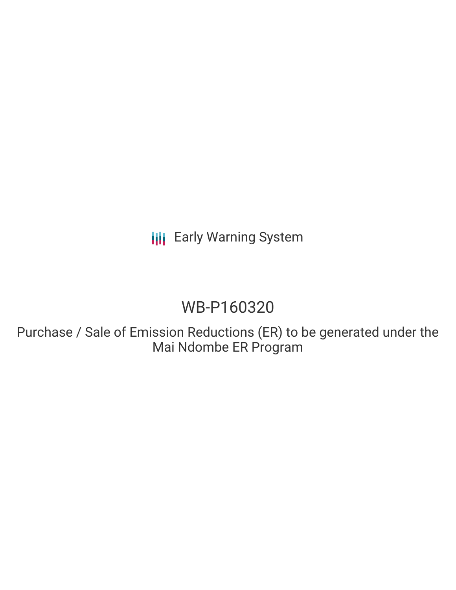**III** Early Warning System

# WB-P160320

Purchase / Sale of Emission Reductions (ER) to be generated under the Mai Ndombe ER Program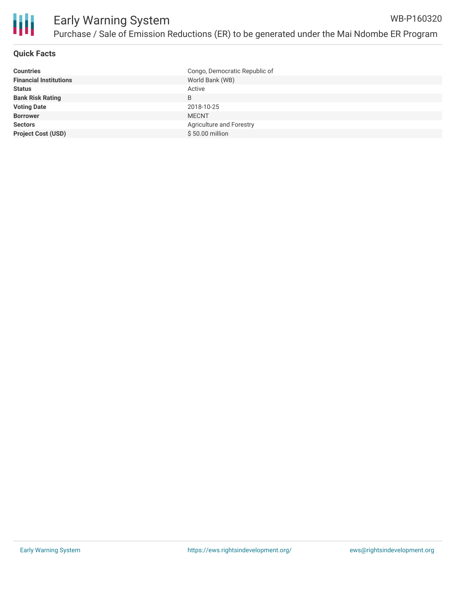

#### **Quick Facts**

| Congo, Democratic Republic of |
|-------------------------------|
| World Bank (WB)               |
| Active                        |
| B                             |
| 2018-10-25                    |
| <b>MECNT</b>                  |
| Agriculture and Forestry      |
| $$50.00$ million              |
|                               |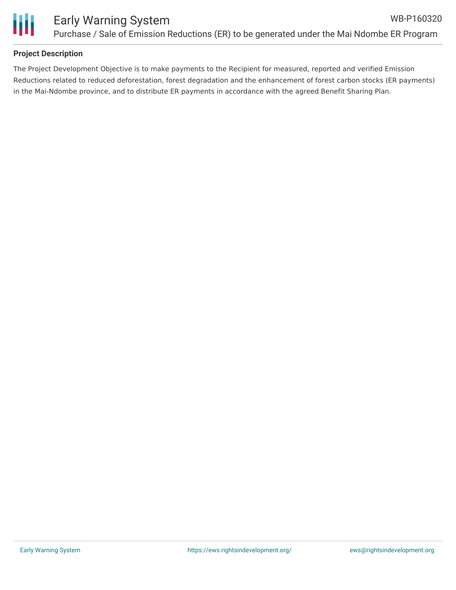

### **Project Description**

The Project Development Objective is to make payments to the Recipient for measured, reported and verified Emission Reductions related to reduced deforestation, forest degradation and the enhancement of forest carbon stocks (ER payments) in the Mai-Ndombe province, and to distribute ER payments in accordance with the agreed Benefit Sharing Plan.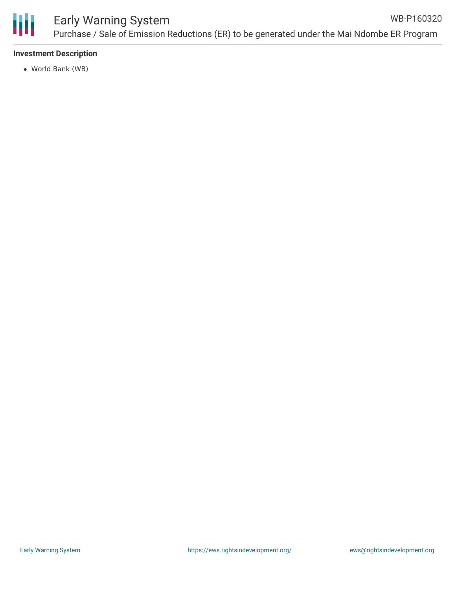

#### **Investment Description**

World Bank (WB)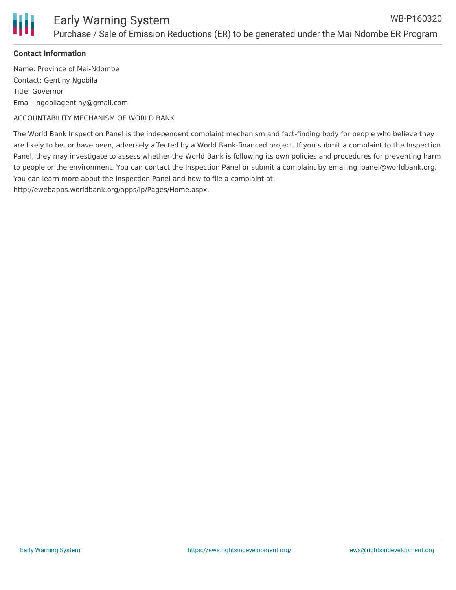

#### **Contact Information**

Name: Province of Mai-Ndombe Contact: Gentiny Ngobila Title: Governor Email: ngobilagentiny@gmail.com

ACCOUNTABILITY MECHANISM OF WORLD BANK

The World Bank Inspection Panel is the independent complaint mechanism and fact-finding body for people who believe they are likely to be, or have been, adversely affected by a World Bank-financed project. If you submit a complaint to the Inspection Panel, they may investigate to assess whether the World Bank is following its own policies and procedures for preventing harm to people or the environment. You can contact the Inspection Panel or submit a complaint by emailing ipanel@worldbank.org. You can learn more about the Inspection Panel and how to file a complaint at:

http://ewebapps.worldbank.org/apps/ip/Pages/Home.aspx.